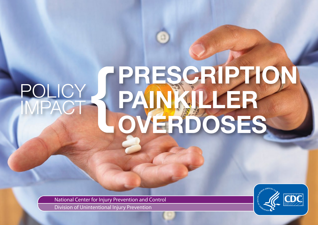# PRESCRIPTION PAINKILLER OVERDOSES **POLICY** POLICY<br>IMPACT

National Center for Injury Prevention and Control Division of Unintentional Injury Prevention

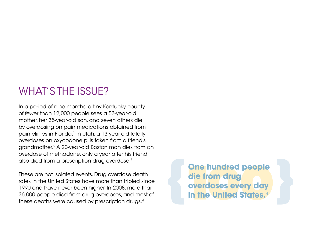# What's the Issue?

In a period of nine months, a tiny Kentucky county of fewer than 12,000 people sees a 53-year-old mother, her 35-year-old son, and seven others die by overdosing on pain medications obtained from pain clinics in Florida.<sup>1</sup> In Utah, a 13-year-old fatally overdoses on oxycodone pills taken from a friend's grandmother.2 a 20-year-old Boston man dies from an overdose of methadone, only a year after his friend also died from a prescription drug overdose.3

these are not isolated events. Drug overdose death rates in the United States have more than tripled since 1990 and have never been higher. In 2008, more than 36,000 people died from drug overdoses, and most of These are not isolated events. Drug overdose.<sup>9</sup><br>These are not isolated events. Drug overdose death<br>rates in the United States have more than tripled since<br>1990 and have never been higher. In 2008, more than<br>36,000 people

**One hundred people die from drug overdoses every day in the United States.**4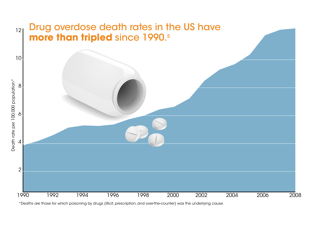

\*Deaths are those for which poisoning by drugs (illicit, prescription, and over-the-counter) was the underlying cause.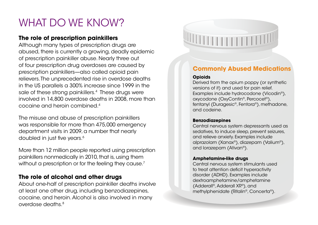# What DO We KNOW?

# **The role of prescription painkillers**

sale of these strong painkillers.<sup>4</sup> These drugs were although many types of prescription drugs are abused, there is currently a growing, deadly epidemic of prescription painkiller abuse. Nearly three out of four prescription drug overdoses are caused by prescription painkillers—also called opioid pain relievers. The unprecedented rise in overdose deaths in the us parallels a 300% increase since 1999 in the involved in 14,800 overdose deaths in 2008, more than cocaine and heroin combined.4

 department visits in 2009, a number that nearly The misuse and abuse of prescription painkillers was responsible for more than 475,000 emergency doubled in just five years.<sup>6</sup>

 More than 12 million people reported using prescription painkillers nonmedically in 2010, that is, using them without a prescription or for the feeling they cause. $^7$ 

# **The role of alcohol and other drugs**

about one-half of prescription painkiller deaths involve at least one other drug, including benzodiazepines, cocaine, and heroin. alcohol is also involved in many overdose deaths.8



# **Commonly Abused Medications**

### **Opioids**

Derived from the opium poppy (or synthetic versions of it) and used for pain relief. Examples include hydrocodone (Vicodin®), oxycodone (OxyContin®, Percocet®), fentanyl (Duragesic®, Fentora®), methadone, and codeine.

### **Benzodiazepines**

Central nervous system depressants used as sedatives, to induce sleep, prevent seizures, and relieve anxiety. Examples include alprazolam (Xanax®), diazepam (Valium®), and lorazepam (ativan®).

### **Amphetamine-like drugs**

Central nervous system stimulants used to treat attention deficit hyperactivity disorder (ADHD). Examples include dextroamphetamine/amphetamine (adderall®, adderall XR®), and methylphenidate (Ritalin®, Concerta®).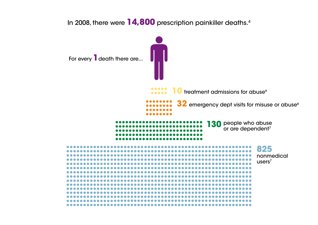In 2008, there were **14,800** prescription painkiller deaths.4

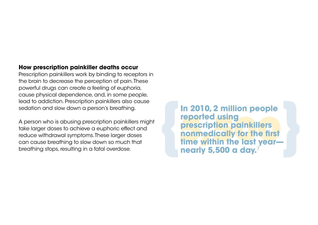# **How prescription painkiller deaths occur**

Prescription painkillers work by binding to receptors in the brain to decrease the perception of pain. These powerful drugs can create a feeling of euphoria, cause physical dependence, and, in some people, lead to addiction. Prescription painkillers also cause sedation and slow down a person's breathing.

a person who is abusing prescription painkillers might take larger doses to achieve a euphoric effect and reduce withdrawal symptoms. These larger doses can cause breathing to slow down so much that breathing stops, resulting in a fatal overdose.

**In 2010, 2 million people<br>
reported using<br>
prescription painkillers<br>
nonmedically for the first<br>
time within the last year reported using prescription painkillers nonmedically for the first nearly 5,500 a day.**7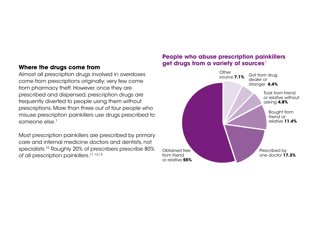## **Where the drugs come from**

almost all prescription drugs involved in overdoses come from prescriptions originally; very few come from pharmacy theft. however, once they are prescribed and dispensed, prescription drugs are frequently diverted to people using them without prescriptions. More than three out of four people who misuse prescription painkillers use drugs prescribed to someone else. $7$ 

Most prescription painkillers are prescribed by primary care and internal medicine doctors and dentists, not specialists.<sup>10</sup> Roughly 20% of prescribers prescribe 80% of all prescription painkillers.11, 12,13

# **People who abuse prescription painkillers get drugs from a variety of sources**<sup>7</sup>

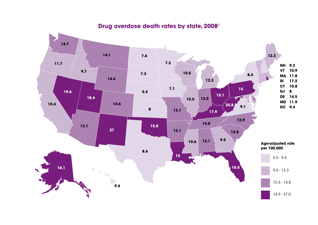

# **Drug overdose death rates by state, 2008**<sup>4</sup>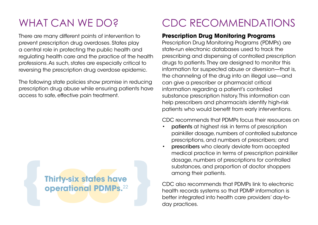# WHAT CAN WE DO?

There are many different points of intervention to prevent prescription drug overdoses. states play a central role in protecting the public health and regulating health care and the practice of the health professions. as such, states are especially critical to reversing the prescription drug overdose epidemic.

The following state policies show promise in reducing prescription drug abuse while ensuring patients have access to safe, effective pain treatment.

# **{ 36Thirty-six states have operational PDMPs.**22 **}**

# CDC RECOMMENDATIONS

# **Prescription Drug Monitoring Programs**

Prescription Drug Monitoring Programs (PDMPs) are state-run electronic databases used to track the prescribing and dispensing of controlled prescription drugs to patients. They are designed to monitor this information for suspected abuse or diversion—that is, the channeling of the drug into an illegal use—and can give a prescriber or pharmacist critical information regarding a patient's controlled substance prescription history. This information can help prescribers and pharmacists identify high-risk patients who would benefit from early interventions.

### CDC recommends that PDMPs focus their resources on

- painkiller dosage, numbers of controlled substance patients at highest risk in terms of prescription prescriptions, and numbers of prescribers; and
- prescribers who clearly deviate from accepted medical practice in terms of prescription painkiller dosage, numbers of prescriptions for controlled substances, and proportion of doctor shoppers among their patients.

CDC also recommends that PDMPs link to electronic health records systems so that PDMP information is better integrated into health care providers' day-today practices.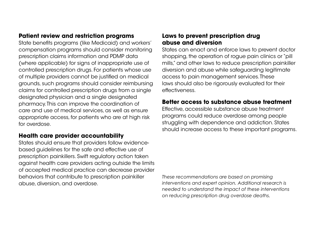# **Patient review and restriction programs**

state benefits programs (like Medicaid) and workers' compensation programs should consider monitoring prescription claims information and PDMP data (where applicable) for signs of inappropriate use of controlled prescription drugs. For patients whose use of multiple providers cannot be justified on medical grounds, such programs should consider reimbursing claims for controlled prescription drugs from a single designated physician and a single designated pharmacy. this can improve the coordination of care and use of medical services, as well as ensure appropriate access, for patients who are at high risk for overdose.

# **Health care provider accountability**

 abuse, diversion, and overdose. states should ensure that providers follow evidencebased guidelines for the safe and effective use of prescription painkillers. swift regulatory action taken against health care providers acting outside the limits of accepted medical practice can decrease provider behaviors that contribute to prescription painkiller

# **Laws to prevent prescription drug abuse and diversion**

states can enact and enforce laws to prevent doctor shopping, the operation of rogue pain clinics or "pill mills," and other laws to reduce prescription painkiller diversion and abuse while safeguarding legitimate access to pain management services. These laws should also be rigorously evaluated for their effectiveness.

## **Better access to substance abuse treatment**

effective, accessible substance abuse treatment programs could reduce overdose among people struggling with dependence and addiction. states should increase access to these important programs.

*These recommendations are based on promising interventions and expert opinion. Additional research is needed to understand the impact of these interventions on reducing prescription drug overdose deaths.*